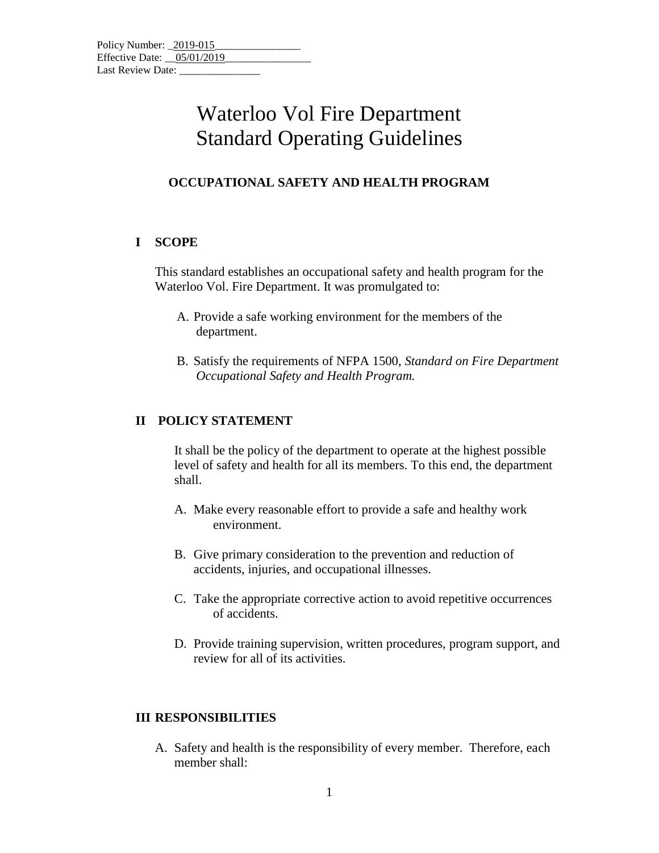## Waterloo Vol Fire Department Standard Operating Guidelines

## **OCCUPATIONAL SAFETY AND HEALTH PROGRAM**

#### **I SCOPE**

This standard establishes an occupational safety and health program for the Waterloo Vol. Fire Department. It was promulgated to:

- A. Provide a safe working environment for the members of the department.
- B. Satisfy the requirements of NFPA 1500, *Standard on Fire Department Occupational Safety and Health Program.*

### **II POLICY STATEMENT**

It shall be the policy of the department to operate at the highest possible level of safety and health for all its members. To this end, the department shall.

- A. Make every reasonable effort to provide a safe and healthy work environment.
- B. Give primary consideration to the prevention and reduction of accidents, injuries, and occupational illnesses.
- C. Take the appropriate corrective action to avoid repetitive occurrences of accidents.
- D. Provide training supervision, written procedures, program support, and review for all of its activities.

#### **III RESPONSIBILITIES**

A. Safety and health is the responsibility of every member. Therefore, each member shall: